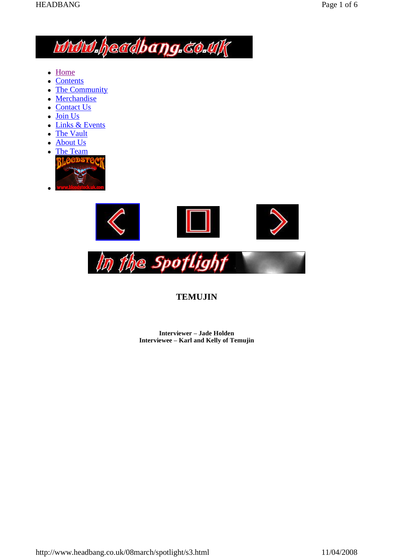# **MMM.headbang.co.uk**

- Home
- Contents
- The Community
- Merchandise
- Contact Us
- Join Us
- Links & Events
- The Vault
- About Us
- The Team





# **TEMUJIN**

**Interviewer** – **Jade Holden Interviewee ñ Karl and Kelly of Temujin**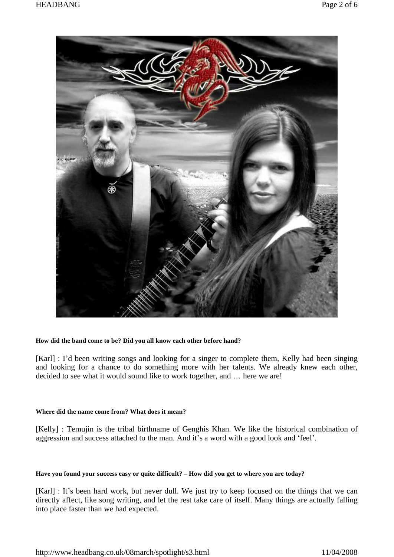

#### **How did the band come to be? Did you all know each other before hand?**

[Karl] : I'd been writing songs and looking for a singer to complete them, Kelly had been singing and looking for a chance to do something more with her talents. We already knew each other, decided to see what it would sound like to work together, and ... here we are!

# **Where did the name come from? What does it mean?**

[Kelly] : Temujin is the tribal birthname of Genghis Khan. We like the historical combination of aggression and success attached to the man. And it's a word with a good look and 'feel'.

#### Have you found your success easy or quite difficult? - How did you get to where you are today?

[Karl] : It's been hard work, but never dull. We just try to keep focused on the things that we can directly affect, like song writing, and let the rest take care of itself. Many things are actually falling into place faster than we had expected.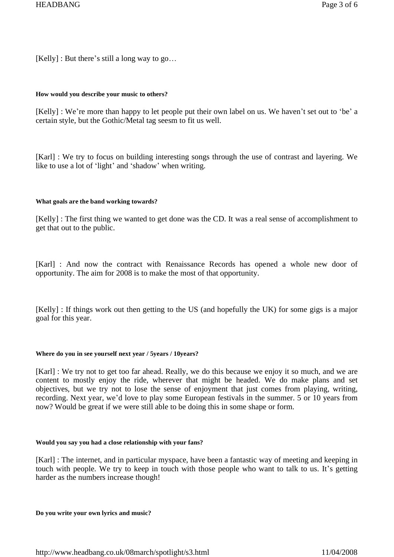$[Kelly]$ : But there's still a long way to go...

# **How would you describe your music to others?**

[Kelly] : We're more than happy to let people put their own label on us. We haven't set out to 'be' a certain style, but the Gothic/Metal tag seesm to fit us well.

[Karl] : We try to focus on building interesting songs through the use of contrast and layering. We like to use a lot of 'light' and 'shadow' when writing.

# **What goals are the band working towards?**

[Kelly] : The first thing we wanted to get done was the CD. It was a real sense of accomplishment to get that out to the public.

[Karl] : And now the contract with Renaissance Records has opened a whole new door of opportunity. The aim for2008 is to make the most of that opportunity.

[Kelly] : If things work out then getting to the US (and hopefully the UK) for some gigs is a major goal for this year.

# **Where do you in see yourself next year /5years / 10years?**

[Karl] : We try not to get too far ahead. Really, we do this because we enjoy it so much, and we are content to mostly enjoy the ride, wherever that might be headed. We do make plans and set objectives, but we try not to lose the sense of enjoyment that just comes from playing, writing, recording. Next year, we'd love to play some European festivals in the summer. 5 or 10 years from now? Would be great if we were still able to be doing this in some shape or form.

# **Would you say you had a close relationship with your fans?**

[Karl] : The internet, and in particular myspace, have been a fantastic way of meeting and keeping in touch with people. We try to keep in touch with those people who want to talk to us. It's getting harder as the numbers increase though!

#### **Do you write your own lyrics and music?**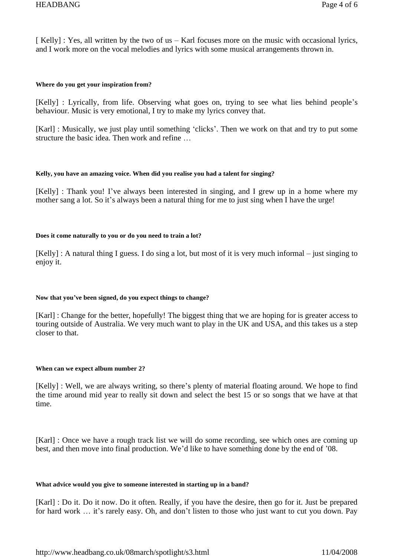[ Kelly] : Yes, all written by the two of us  $-$  Karl focuses more on the music with occasional lyrics, and I work more on the vocal melodies and lyrics with some musical arrangements thrown in.

# **Where do you get your inspiration from?**

[Kelly] : Lyrically, from life. Observing what goes on, trying to see what lies behind people's behaviour. Music is very emotional, I try to make my lyrics convey that.

[Karl] : Musically, we just play until something 'clicks'. Then we work on that and try to put some structure the basic idea. Then work and refine ...

# **Kelly, you have an amazing voice. When did you realise you had a talent for singing?**

[Kelly] : Thank you! I've always been interested in singing, and I grew up in a home where my mother sang a lot. So it's always been a natural thing for me to just sing when I have the urge!

# **Does it come naturally to you or do you need to train a lot?**

 $[Kelly]$ : A natural thing I guess. I do sing a lot, but most of it is very much informal – just singing to enjoy it.

# **Now that youíve been signed, do you expect things to change?**

[Karl] : Change for the better, hopefully! The biggest thing that we are hoping for is greater access to touring outside of Australia. We very much want to play in the UK and USA, and this takes us a step closer to that.

#### **When can we expect album number 2?**

[Kelly] : Well, we are always writing, so there's plenty of material floating around. We hope to find the time around mid year to really sit down and select the best 15 or so songs that we have at that time.

[Karl] : Once we have a rough track list we will do some recording, see which ones are coming up best, and then move into final production. We'd like to have something done by the end of '08.

#### **What advice would you give to someone interested in starting up in a band?**

[Karl] : Do it. Do it now. Do it often. Really, if you have the desire, then go for it. Just be prepared for hard work ... it's rarely easy. Oh, and don't listen to those who just want to cut you down. Pay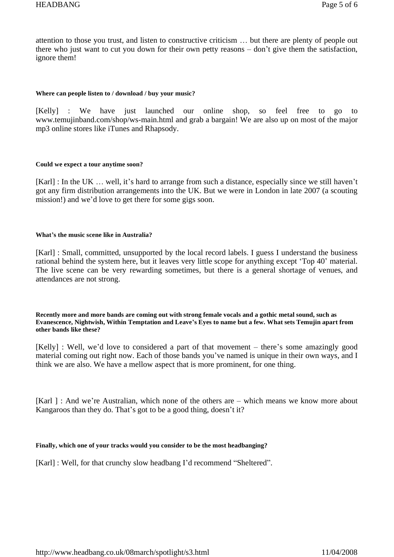attention to those you trust, and listen to constructive criticism  $\ldots$  but there are plenty of people out there who just want to cut you down for their own petty reasons  $-\text{don't}$  give them the satisfaction, ignore them!

#### **Where can people listen to / download / buy your music?**

[Kelly] : We have just launched our online shop, so feel free to go to [www.temujinband.com/shop/ws-main.html](http://www.temujinband.com/shop/ws-main.html) and grab a bargain! We are also up on most of the major mp3 online stores like iTunes and Rhapsody.

# **Could we expect a tour anytime soon?**

[Karl] : In the UK  $\ldots$  well, it's hard to arrange from such a distance, especially since we still haven't got any firm distribution arrangements into the UK. But we were in London in late 2007 (a scouting mission!) and we'd love to get there for some gigs soon.

# **Whatís the music scene like in Australia?**

[Karl] : Small, committed, unsupported by the local record labels. I guess I understand the business rational behind the system here, but it leaves very little scope for anything except 'Top 40' material. The live scene can be very rewarding sometimes, but there is a general shortage of venues, and attendances are not strong.

Recently more and more bands are coming out with strong female vocals and a gothic metal sound, such as Evanescence, Nightwish, Within Temptation and Leave's Eyes to name but a few. What sets Temujin apart from **other bands like these?**

[Kelly] : Well, we'd love to considered a part of that movement  $-$  there's some amazingly good material coming out right now. Each of those bands you've named is unique in their own ways, and I think we are also. We have a mellow aspect that is more prominent, for one thing.

[Karl ] : And we're Australian, which none of the others are  $-$  which means we know more about Kangaroos than they do. That's got to be a good thing, doesn't it?

# **Finally, which one of your tracks would you consider to be the most headbanging?**

[Karl] : Well, for that crunchy slow headbang I'd recommend "Sheltered".